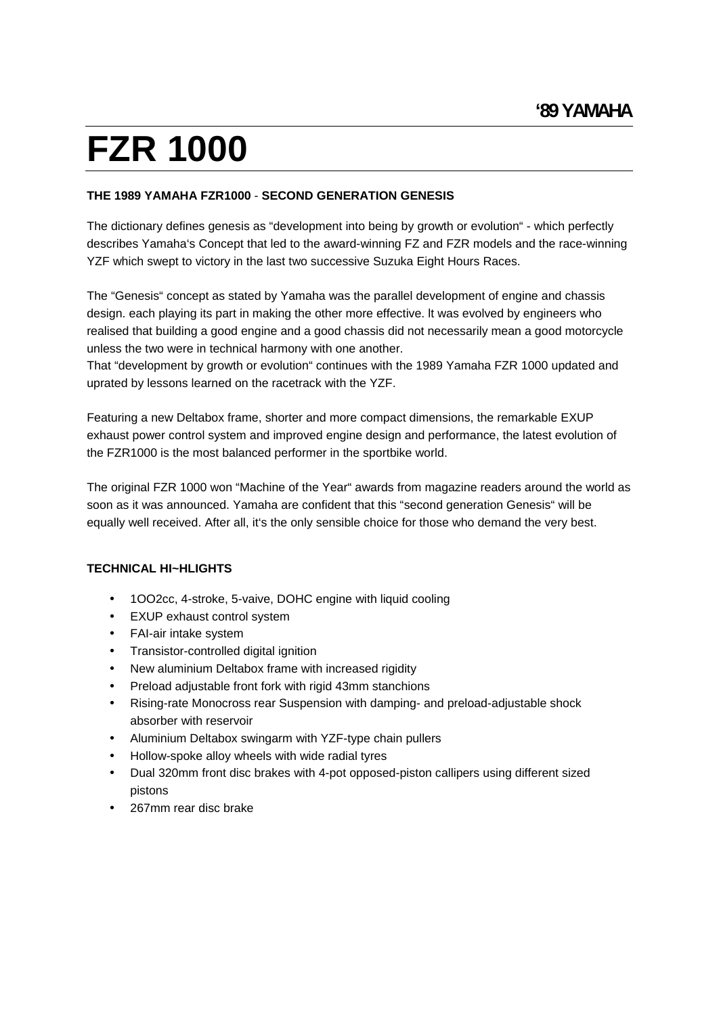#### **THE 1989 YAMAHA FZR1000** - **SECOND GENERATION GENESIS**

The dictionary defines genesis as "development into being by growth or evolution" - which perfectly describes Yamaha's Concept that led to the award-winning FZ and FZR models and therace-winning YZF which swept to victory in the last two successive Suzuka Eight Hours Races.

The "Genesis" concept as stated by Yamaha was the parallel development of engine and chassis design. each playing its part in making the other more effective. lt was evolved by engineers who realised that building a good engine and a good chassis did not necessarily mean a good motorcycle unless the two were in technical harmony with one another.

That "development by growth or evolution" continues with the 1989 Yamaha FZR 1000 updated and uprated by lessons learned on the racetrack with the YZF.

Featuring a new Deltabox frame, shorter and more compact dimensions, the remarkable EXUP exhaust power control system and improved engine design and performance, the latest evolution of the FZR1000 is the most balanced performer in the sportbike world.

The original FZR 1000 won "Machine of the Year" awards from magazine readers around the world as soon as it was announced. Yamaha are confident that this "second generation Genesis" will be equally well received. After all, it's the only sensible choice for those who demand the very best.

#### **TECHNICAL HI~HLIGHTS**

- 1OO2cc, 4-stroke, 5-vaive, DOHC engine with liquid cooling
- EXUP exhaust control system
- FAI-air intake system
- Transistor-controlled digital ignition
- New aluminium Deltabox frame with increased rigidity
- Preload adjustable front fork with rigid 43mm stanchions
- Rising-rate Monocross rear Suspension with damping- and preload-adjustable shock absorber with reservoir
- Aluminium Deltabox swingarm with YZF-type chain pullers
- Hollow-spoke alloy wheels with wide radial tyres
- Dual 320mm front disc brakes with 4-pot opposed-piston callipers using different sized pistons and the contract of the contract of the contract of the contract of the contract of the contract of the contract of the contract of the contract of the contract of the contract of the contract of the contract of th
- 267mm rear disc brake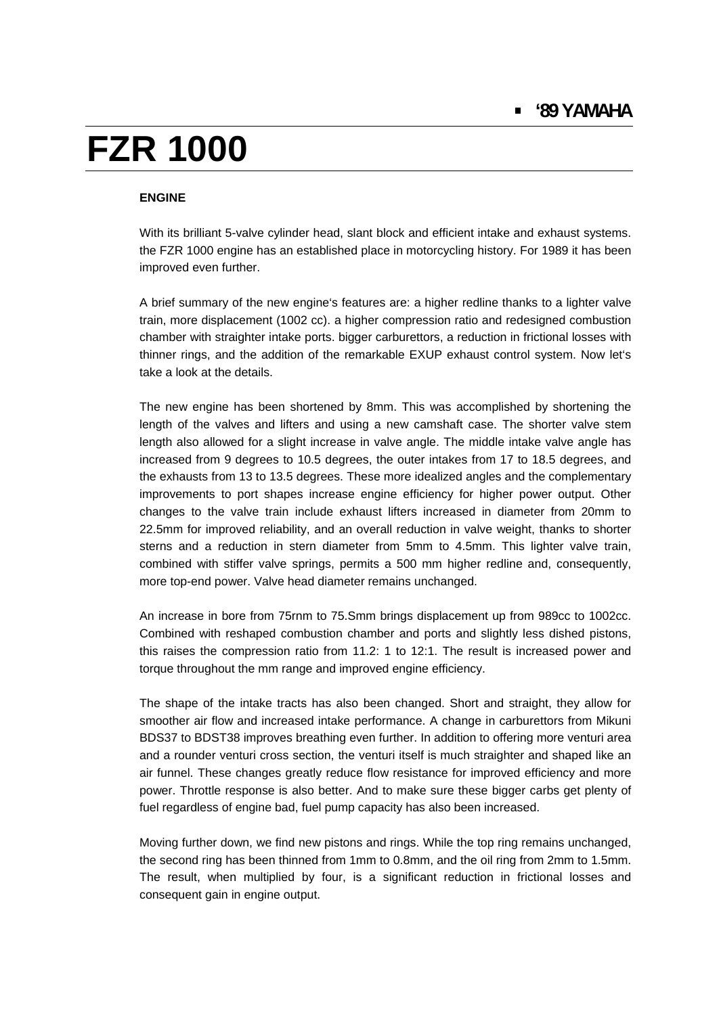#### **ENGINE**

With its brilliant 5-valve cylinder head, slant block and efficient intake and exhaust systems. the FZR 1000 engine has an established place in motorcycling history. For 1989 it has been improved even further.

A brief summary of the new engine's features are: ahigher redline thanks to a lighter valve train, more displacement (1002 cc). a higher compression ratio and redesigned combustion chamber with straighter intake ports. bigger carburettors, a reduction in frictional losses with thinner rings, and the addition of the remarkable EXUP exhaust control system. Now let's take a look at the details.

The new engine has been shortened by 8mm. This was accomplished by shortening the length of the valves and lifters and using a new camshaft case. The shorter valve stem length also allowed for a slight increase in valve angle. The middle intake valve angle has increased from 9 degrees to 10.5 degrees, the outer intakes from 17 to 18.5 degrees, and the exhausts from 13 to 13.5 degrees. These more idealized angles and the complementary improvements to port shapes increase engine efficiency for higher power output. Other changes to the valve train include exhaust lifters increased in diameter from 20mm to 22.5mm for improved reliability, and an overall reduction in valve weight, thanks to shorter sterns and a reduction in stern diameter from 5mm to 4.5mm. This lighter valve train, combined with stiffer valve springs, permits a 500 mm higher redline and, consequently, more top-end power. Valve head diameter remains unchanged.

An increase in bore from 75rnm to 75.Smm brings displacement up from 989cc to 1002cc. Combined with reshaped combustion chamber and ports and slightly less dished pistons, this raises the compression ratio from 11.2: 1 to 12:1. The result is increased power and torque throughout the mm range and improved engine efficiency.

The shape of the intake tracts has also been changed. Short and straight, they allow for smoother air flow and increased intake performance. A change in carburettors from Mikuni BDS37 to BDST38 improves breathing even further. In addition to offering more venturi area and a rounder venturi cross section, the venturi itself is much straighter and shaped like an air funnel. These changes greatly reduce flow resistance for improved efficiency and more power. Throttle response is also better. And to make sure these bigger carbs get plenty of fuel regardless of engine bad, fuel pump capacity has also been increased.

Moving further down, we find new pistons and rings. While the top ring remains unchanged, the second ring has been thinned from 1mm to 0.8mm, and the oil ring from 2mm to 1.5mm. The result, when multiplied by four, is a significant reduction in frictional losses and consequent gain in engine output.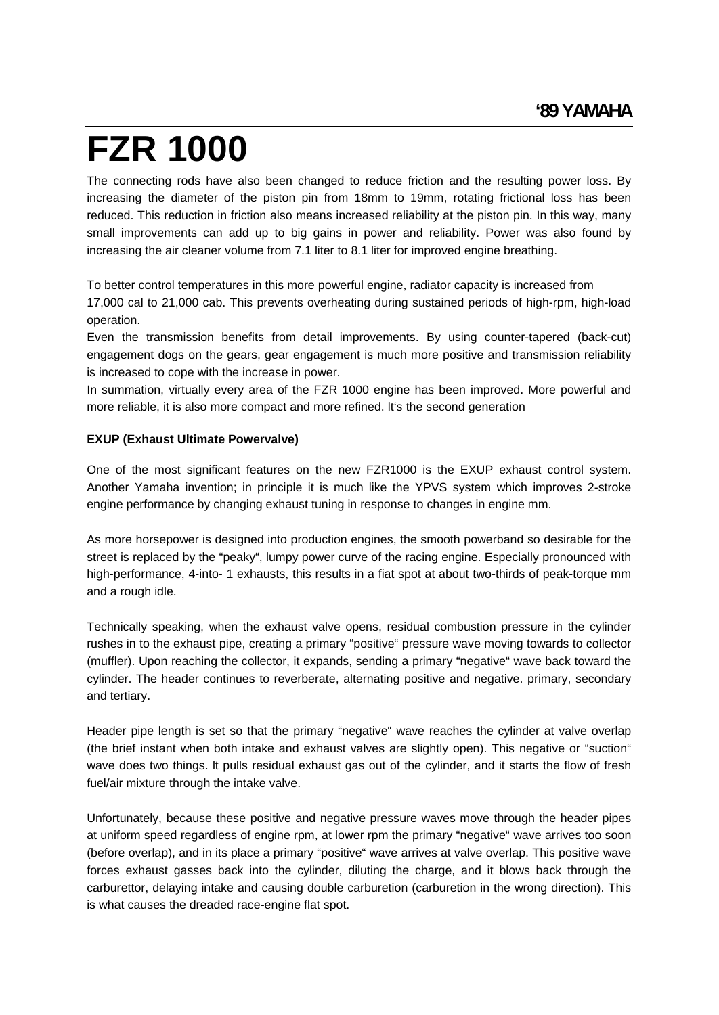The connecting rods have also been changed to reduce friction and the resulting power loss. By increasing the diameter of the piston pin from 18mm to 19mm, rotating frictional loss has been reduced. This reduction in friction also means increased reliability at the piston pin. In this way, many small improvements can add up to big gains in power and reliability. Power was also found by increasing the air cleaner volume from 7.1 liter to 8.1 liter for improved engine breathing.

To better control temperatures in this more powerful engine, radiator capacity is increased from 17,000 cal to 21,000 cab. This prevents overheating during sustained periods of high-rpm, high-load operation. The contract of the contract of the contract of the contract of the contract of the contract of the contract of the contract of the contract of the contract of the contract of the contract of the contract of the

Even the transmission benefits from detail improvements. By using counter-tapered (back-cut) engagement dogs on the gears, gear engagement is much more positive and transmission reliability is increased to cope with the increase in power.

In summation, virtually every area of the FZR 1000 engine has been improved. More powerful and more reliable, it is also more compact and more refined. lt's the second generation

### **EXUP (Exhaust Ultimate Powervalve)**

One of the most significant features on the new FZR1000 is the EXUP exhaust control system. Another Yamaha invention; in principle it is much like the YPVS system which improves 2-stroke engine performance by changing exhaust tuning in response to changes in engine mm.

As more horsepower is designed into production engines, the smooth powerband so desirable for the street is replaced by the "peaky", lumpy power curve of the racing engine. Especially pronounced with high-performance, 4-into- 1 exhausts, this results in a fiat spot at about two-thirds of peak-torque mm and a rough idle.

Technically speaking, when the exhaust valve opens, residual combustion pressure in the cylinder rushes in to the exhaust pipe, creating a primary "positive" pressure wave moving towards to collector (muffler). Upon reaching the collector, it expands, sending a primary "negative" wave back toward the cylinder. The header continues to reverberate, alternating positive and negative. primary, secondary and tertiary.

Header pipe length is set so that the primary "negative" wave reaches the cylinder at valve overlap (the brief instant when both intake and exhaust valves are slightly open). This negative or "suction" wave does two things. lt pulls residual exhaust gas out of the cylinder, and it starts the flow of fresh fuel/air mixture through the intake valve.

Unfortunately, because these positive and negative pressure waves move through the header pipes at uniform speed regardless of engine rpm, at lower rpm the primary "negative" wave arrives too soon (before overlap), and in its place a primary "positive" wave arrives at valve overlap. This positive wave forces exhaust gasses back into the cylinder, diluting the charge, and it blows back through the carburettor, delaying intake and causing double carburetion (carburetion in the wrong direction). This is what causes the dreaded race-engine flat spot.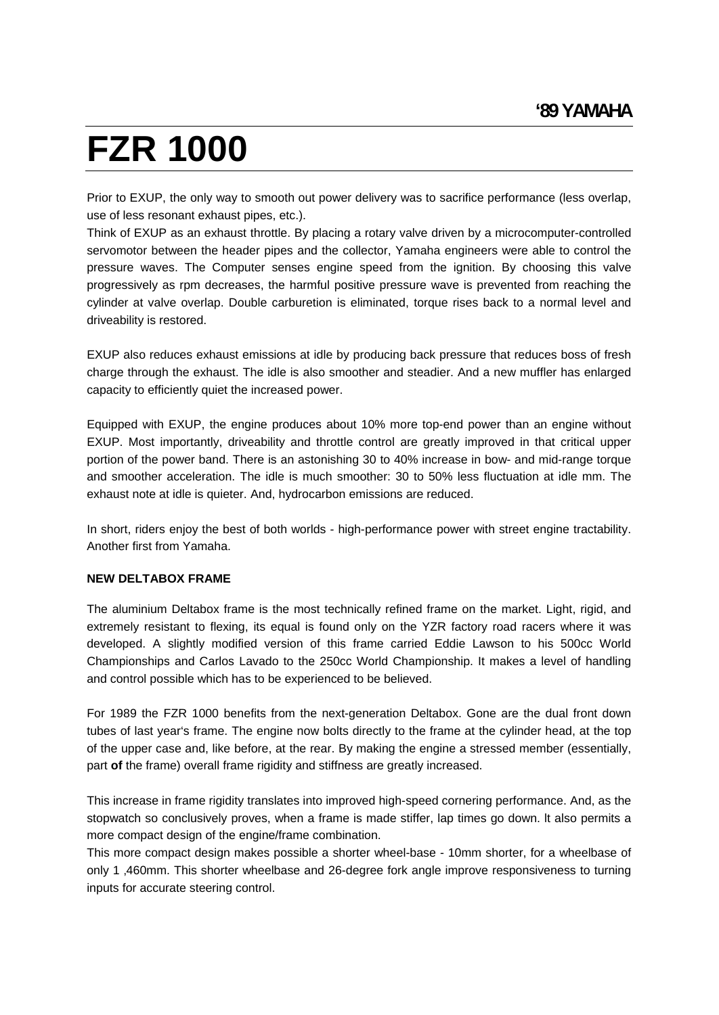Prior to EXUP, the only way to smooth out power delivery was to sacrifice performance (less overlap, use of less resonant exhaust pipes, etc.).

Think of EXUP as an exhaust throttle. By placing a rotary valve driven by a microcomputer-controlled servomotor between the header pipes and the collector, Yamaha engineers were able to control the pressure waves. The Computer senses engine speed from the ignition. By choosing this valve progressively as rpm decreases, the harmful positive pressure wave is prevented from reaching the cylinder at valve overlap. Double carburetion is eliminated, torque rises back to a normal level and driveability is restored.

EXUP also reduces exhaust emissions at idle by producing back pressure that reduces boss of fresh charge through the exhaust. The idle is also smoother and steadier. And a new muffler has enlarged capacity to efficiently quiet the increased power.

Equipped with EXUP, the engine produces about 10% more top-end power than an engine without EXUP. Most importantly, driveability and throttle control are greatly improved in that critical upper portion of the power band. There is an astonishing 30 to 40% increase in bow- and mid-range torque and smoother acceleration. The idle is much smoother: 30 to 50% less fluctuation at idle mm. The exhaust note at idle is quieter. And, hydrocarbon emissions are reduced.

In short, riders enjoy the best of both worlds - high-performance power with street engine tractability. Another first from Yamaha.

#### **NEW DELTABOX FRAME**

The aluminium Deltabox frame is the most technically refined frame on the market. Light, rigid, and extremely resistant to flexing, its equal is found only on the YZR factory road racers where it was developed. A slightly modified version of this frame carried Eddie Lawson to his 500cc World Championships and Carlos Lavado to the 250cc World Championship. It makes a level of handling and control possible which has to be experienced to be believed.

For 1989 the FZR 1000 benefits from the next-generation Deltabox. Gone are the dual front down tubes of last year's frame. The engine now bolts directly to the frame at the cylinder head, at the top of the upper case and, like before, at the rear. By making the engine a stressed member (essentially, part **of** the frame) overall frame rigidity and stiffness are greatly increased.

This increase in frame rigidity translates into improved high-speed cornering performance. And, as the stopwatch so conclusively proves, when a frame is made stiffer, lap times go down. lt also permits a more compact design of the engine/frame combination.

This more compact design makes possible a shorter wheel-base - 10mm shorter, for a wheelbase of only 1 ,460mm. This shorter wheelbase and 26-degree fork angle improve responsiveness to turning inputs for accurate steering control.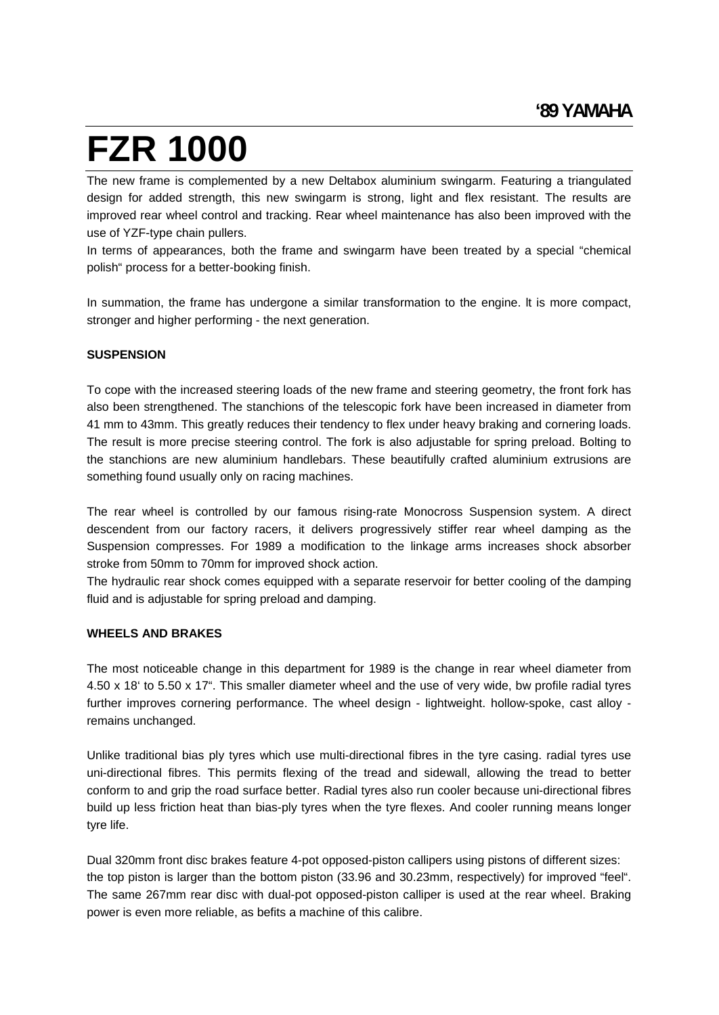The new frame is complemented by a new Deltabox aluminium swingarm. Featuring a triangulated design for added strength, this new swingarm is strong, light and flex resistant. The results are improved rear wheel control and tracking. Rear wheel maintenance has also been improved with the use of YZF-type chain pullers.

In terms of appearances, both the frame and swingarm have been treated by a special "chemical polish" process for a better-booking finish.

In summation, the frame has undergone a similar transformation to the engine. lt is more compact, stronger and higher performing - the next generation.

#### **SUSPENSION**

To cope with the increased steering loads of the new frame and steering geometry, the front fork has also been strengthened. The stanchions of the telescopic fork have been increased in diameter from 41 mm to 43mm. This greatly reduces their tendency to flex under heavy braking and cornering loads. The result is more precise steering control. The fork is also adjustable for spring preload. Bolting to the stanchions are new aluminium handlebars. These beautifully crafted aluminium extrusions are something found usually only on racing machines.

The rear wheel is controlled by our famous rising-rate Monocross Suspension system. A direct descendent from our factory racers, it delivers progressively stiffer rear wheel damping as the Suspension compresses. For 1989 a modification to the linkage arms increases shock absorber stroke from 50mm to 70mm for improved shock action.

The hydraulic rear shock comes equipped with a separate reservoir for better cooling of the damping fluid and is adjustable for spring preload and damping.

#### **WHEELS AND BRAKES**

The most noticeable change in this department for 1989 is the change in rear wheel diameter from 4.50 x 18' to 5.50 x 17". This smaller diameter wheel and the use of very wide, bw profile radial tyres further improves cornering performance. The wheel design - lightweight. hollow-spoke, cast alloy remains unchanged.

Unlike traditional bias ply tyres which use multi-directional fibres in the tyre casing. radial tyres use uni-directional fibres. This permits flexing of the tread and sidewall, allowing the tread to better conform to and grip the road surface better. Radial tyres also run cooler because uni-directional fibres build up less friction heat than bias-ply tyres when the tyre flexes. And cooler running means longer tyre life.

Dual 320mm front disc brakes feature 4-pot opposed-piston callipers using pistons of different sizes: the top piston is larger than the bottom piston (33.96 and 30.23mm, respectively) for improved "feel". The same 267mm rear disc with dual-pot opposed-piston calliper is used at the rear wheel. Braking power is even more reliable, as befits a machine of this calibre.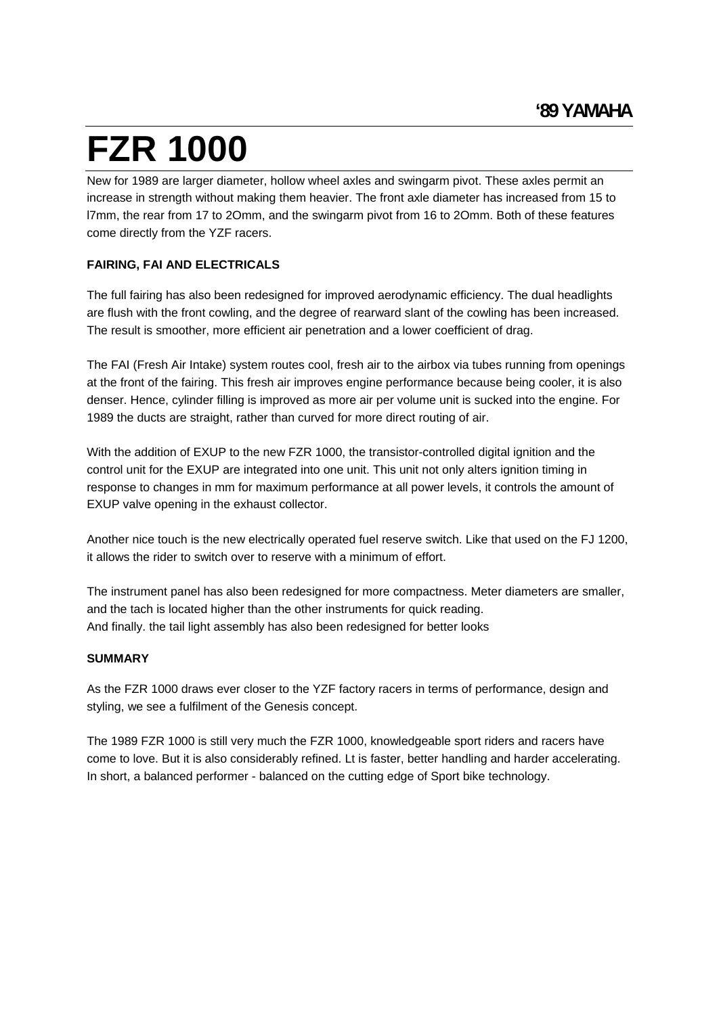New for 1989 are larger diameter, hollow wheel axles and swingarm pivot. These axles permit an increase in strength without making them heavier. The front axle diameter has increased from 15 to l7mm, the rear from 17 to 2Omm, and the swingarm pivot from 16 to 2Omm. Both of these features come directly from the YZF racers.

### **FAIRING, FAI AND ELECTRICALS**

The full fairing has also been redesigned for improved aerodynamic efficiency. The dual headlights are flush with the front cowling, and the degree of rearward slant of the cowling has been increased. The result is smoother, more efficient air penetration and a lower coefficient of drag.

The FAI (Fresh Air Intake) system routes cool, fresh air to the airbox via tubes running from openings at the front of the fairing. This fresh air improves engine performance because being cooler, it is also denser. Hence, cylinder filling is improved as more air per volume unit is sucked into the engine. For 1989 the ducts are straight, rather than curved for more direct routing of air.

With the addition of EXUP to the new FZR 1000, the transistor-controlled digital ignition and the control unit for the EXUP are integrated into one unit. This unit not only alters ignition timing in response to changes in mm for maximum performance at all power levels, it controls the amount of EXUP valve opening in the exhaust collector.

Another nice touch is the new electrically operated fuel reserve switch. Like that used on the FJ 1200, it allows the rider to switch over to reserve with a minimum of effort.

The instrument panel has also been redesigned for more compactness. Meter diameters are smaller, and the tach is located higher than the other instruments for quick reading. And finally. the tail light assembly has also been redesigned for better looks

#### **SUMMARY**

As the FZR 1000 draws ever closer to the YZF factory racers in terms of performance, design and styling, we see a fulfilment of the Genesis concept.

The 1989 FZR 1000 is still very much the FZR 1000, knowledgeable sport riders and racers have come to love. But it is also considerably refined. Lt is faster, better handling and harder accelerating. In short, a balanced performer - balanced on the cutting edge of Sport bike technology.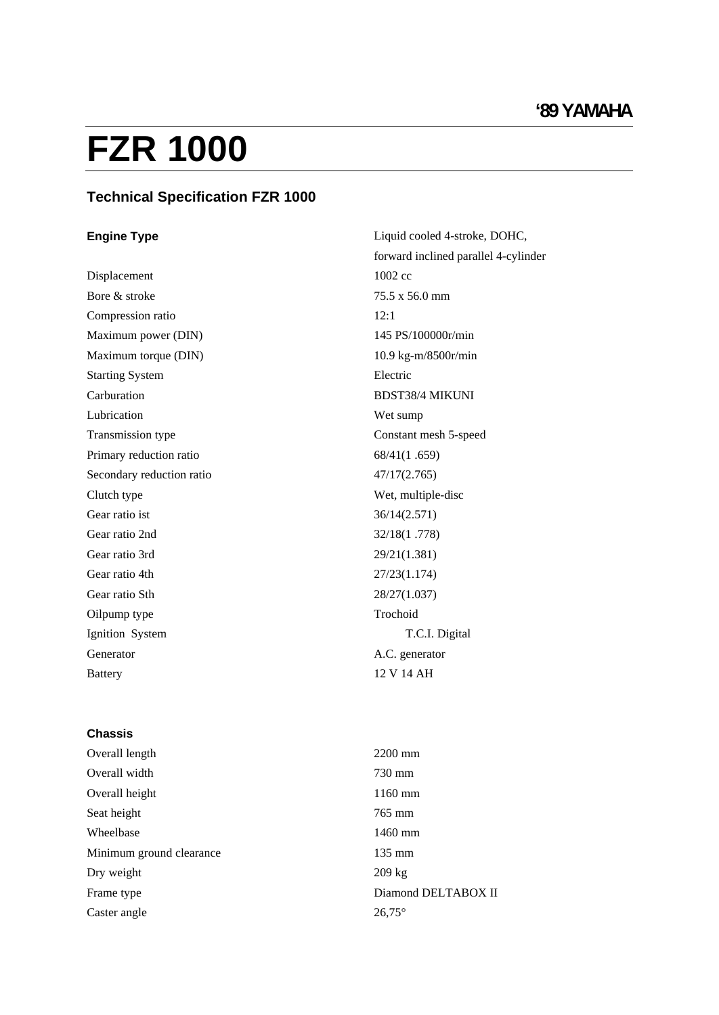### **Technical Specification FZR 1000**

Battery 12 V 14 AH

**Engine Type Example 2 Cooled 4-stroke, DOHC, Separate 2 Cooled 4-stroke, DOHC, Separate 2 Cooled 4-stroke, DOHC, Separate 2 Cooled 4-stroke, DOHC, Separate 2 Cooled 4-stroke, DOHC, Separate 2 Cooled 4-stroke, DOHC, Sepa** forward inclined parallel 4-cylinder Displacement 1002 cc Bore  $\&$  stroke  $75.5 \times 56.0$  mm Compression ratio and 12:1 Maximum power (DIN) 145 PS/100000r/min Maximum torque (DIN)  $10.9 \text{ kg-m} / 8500 \text{r/min}$ Starting System and the settlement of the Electric Electric state of the System and the System of the System of the System of the System of the System of the System of the System of the System of the System of the System o Carburation **BDST38/4 MIKUNI** Lubrication and the contraction of the contraction of the contraction of the contraction of the contraction of  $W$ et sump Transmission type Constant mesh 5-speed Primary reduction ratio  $68/41(1.659)$ Secondary reduction ratio  $47/17(2.765)$ Clutch type Wet, multiple-disc Gear ratio ist  $36/14(2.571)$ Gear ratio 2nd 32/18(1 .778) Gear ratio 3rd  $29/21(1.381)$ Gear ratio 4th 27/23(1.174) Gear ratio Sth $28/27(1.037)$ Oilpump type **Trochoid** Trochoid **Trochoid** Trochoid **Trochoid** Ignition System T.C.I. Digital Generator A.C. generator A.C. And  $\alpha$ 

#### **Chassis**

| Overall length           | 2200 mm             |
|--------------------------|---------------------|
| Overall width            | 730 mm              |
| Overall height           | $1160$ mm           |
| Seat height              | $765$ mm            |
| Wheelbase                | $1460$ mm           |
| Minimum ground clearance | $135$ mm            |
| Dry weight               | 209 kg              |
| Frame type               | Diamond DELTABOX II |
| Caster angle             | $26,75^{\circ}$     |
|                          |                     |